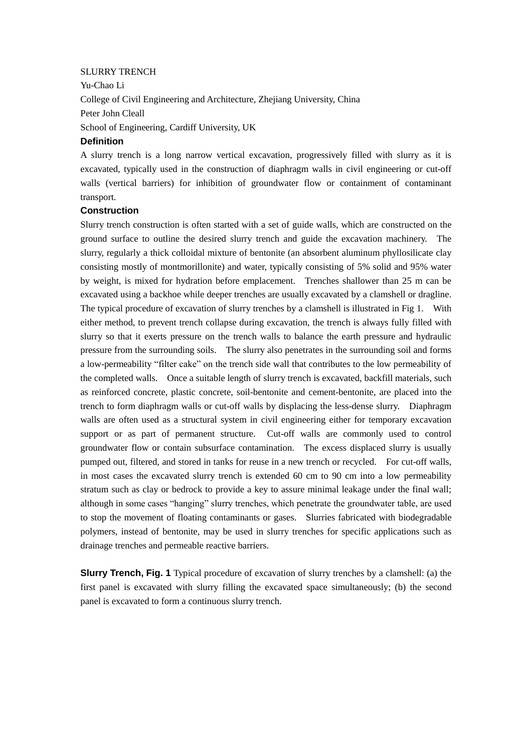## SLURRY TRENCH

Yu-Chao Li College of Civil Engineering and Architecture, Zhejiang University, China Peter John Cleall School of Engineering, Cardiff University, UK

## **Definition**

A slurry trench is a long narrow vertical excavation, progressively filled with slurry as it is excavated, typically used in the construction of diaphragm walls in civil engineering or cut-off walls (vertical barriers) for inhibition of groundwater flow or containment of contaminant transport.

## **Construction**

Slurry trench construction is often started with a set of guide walls, which are constructed on the ground surface to outline the desired slurry trench and guide the excavation machinery. The slurry, regularly a thick colloidal mixture of bentonite (an absorbent aluminum phyllosilicate clay consisting mostly of montmorillonite) and water, typically consisting of 5% solid and 95% water by weight, is mixed for hydration before emplacement. Trenches shallower than 25 m can be excavated using a backhoe while deeper trenches are usually excavated by a clamshell or dragline. The typical procedure of excavation of slurry trenches by a clamshell is illustrated in Fig 1. With either method, to prevent trench collapse during excavation, the trench is always fully filled with slurry so that it exerts pressure on the trench walls to balance the earth pressure and hydraulic pressure from the surrounding soils. The slurry also penetrates in the surrounding soil and forms a low-permeability "filter cake" on the trench side wall that contributes to the low permeability of the completed walls. Once a suitable length of slurry trench is excavated, backfill materials, such as reinforced concrete, plastic concrete, soil-bentonite and cement-bentonite, are placed into the trench to form diaphragm walls or cut-off walls by displacing the less-dense slurry. Diaphragm walls are often used as a structural system in civil engineering either for temporary excavation support or as part of permanent structure. Cut-off walls are commonly used to control groundwater flow or contain subsurface contamination. The excess displaced slurry is usually pumped out, filtered, and stored in tanks for reuse in a new trench or recycled. For cut-off walls, in most cases the excavated slurry trench is extended 60 cm to 90 cm into a low permeability stratum such as clay or bedrock to provide a key to assure minimal leakage under the final wall; although in some cases "hanging" slurry trenches, which penetrate the groundwater table, are used to stop the movement of floating contaminants or gases. Slurries fabricated with biodegradable polymers, instead of bentonite, may be used in slurry trenches for specific applications such as drainage trenches and permeable reactive barriers.

**Slurry Trench, Fig. 1** Typical procedure of excavation of slurry trenches by a clamshell: (a) the first panel is excavated with slurry filling the excavated space simultaneously; (b) the second panel is excavated to form a continuous slurry trench.